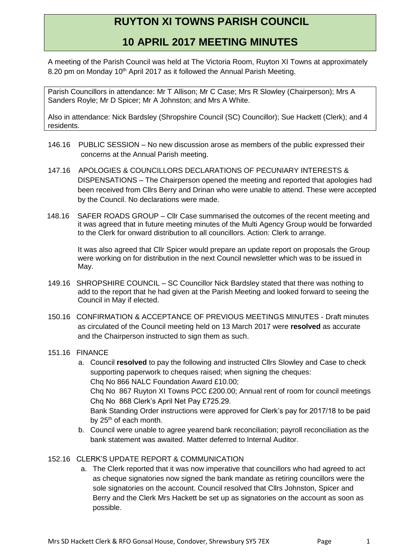## **RUYTON XI TOWNS PARISH COUNCIL**

## **10 APRIL 2017 MEETING MINUTES**

A meeting of the Parish Council was held at The Victoria Room, Ruyton XI Towns at approximately 8.20 pm on Monday 10<sup>th</sup> April 2017 as it followed the Annual Parish Meeting.

Parish Councillors in attendance: Mr T Allison; Mr C Case; Mrs R Slowley (Chairperson); Mrs A Sanders Royle; Mr D Spicer; Mr A Johnston; and Mrs A White.

Also in attendance: Nick Bardsley (Shropshire Council (SC) Councillor); Sue Hackett (Clerk); and 4 residents.

- 146.16 PUBLIC SESSION No new discussion arose as members of the public expressed their concerns at the Annual Parish meeting.
- 147.16 APOLOGIES & COUNCILLORS DECLARATIONS OF PECUNIARY INTERESTS & DISPENSATIONS – The Chairperson opened the meeting and reported that apologies had been received from Cllrs Berry and Drinan who were unable to attend. These were accepted by the Council. No declarations were made.
- 148.16 SAFER ROADS GROUP Cllr Case summarised the outcomes of the recent meeting and it was agreed that in future meeting minutes of the Multi Agency Group would be forwarded to the Clerk for onward distribution to all councillors. Action: Clerk to arrange.

It was also agreed that Cllr Spicer would prepare an update report on proposals the Group were working on for distribution in the next Council newsletter which was to be issued in May.

- 149.16 SHROPSHIRE COUNCIL SC Councillor Nick Bardsley stated that there was nothing to add to the report that he had given at the Parish Meeting and looked forward to seeing the Council in May if elected.
- 150.16 CONFIRMATION & ACCEPTANCE OF PREVIOUS MEETINGS MINUTES Draft minutes as circulated of the Council meeting held on 13 March 2017 were **resolved** as accurate and the Chairperson instructed to sign them as such.
- 151.16 FINANCE
	- a. Council **resolved** to pay the following and instructed Cllrs Slowley and Case to check supporting paperwork to cheques raised; when signing the cheques: Chq No 866 NALC Foundation Award £10.00; Chq No 867 Ruyton XI Towns PCC £200.00; Annual rent of room for council meetings Cha No 868 Clerk's April Net Pay £725.29. Bank Standing Order instructions were approved for Clerk's pay for 2017/18 to be paid by 25<sup>th</sup> of each month.
	- b. Council were unable to agree yearend bank reconciliation; payroll reconciliation as the bank statement was awaited. Matter deferred to Internal Auditor.

## 152.16 CLERK'S UPDATE REPORT & COMMUNICATION

a. The Clerk reported that it was now imperative that councillors who had agreed to act as cheque signatories now signed the bank mandate as retiring councillors were the sole signatories on the account. Council resolved that Cllrs Johnston, Spicer and Berry and the Clerk Mrs Hackett be set up as signatories on the account as soon as possible.